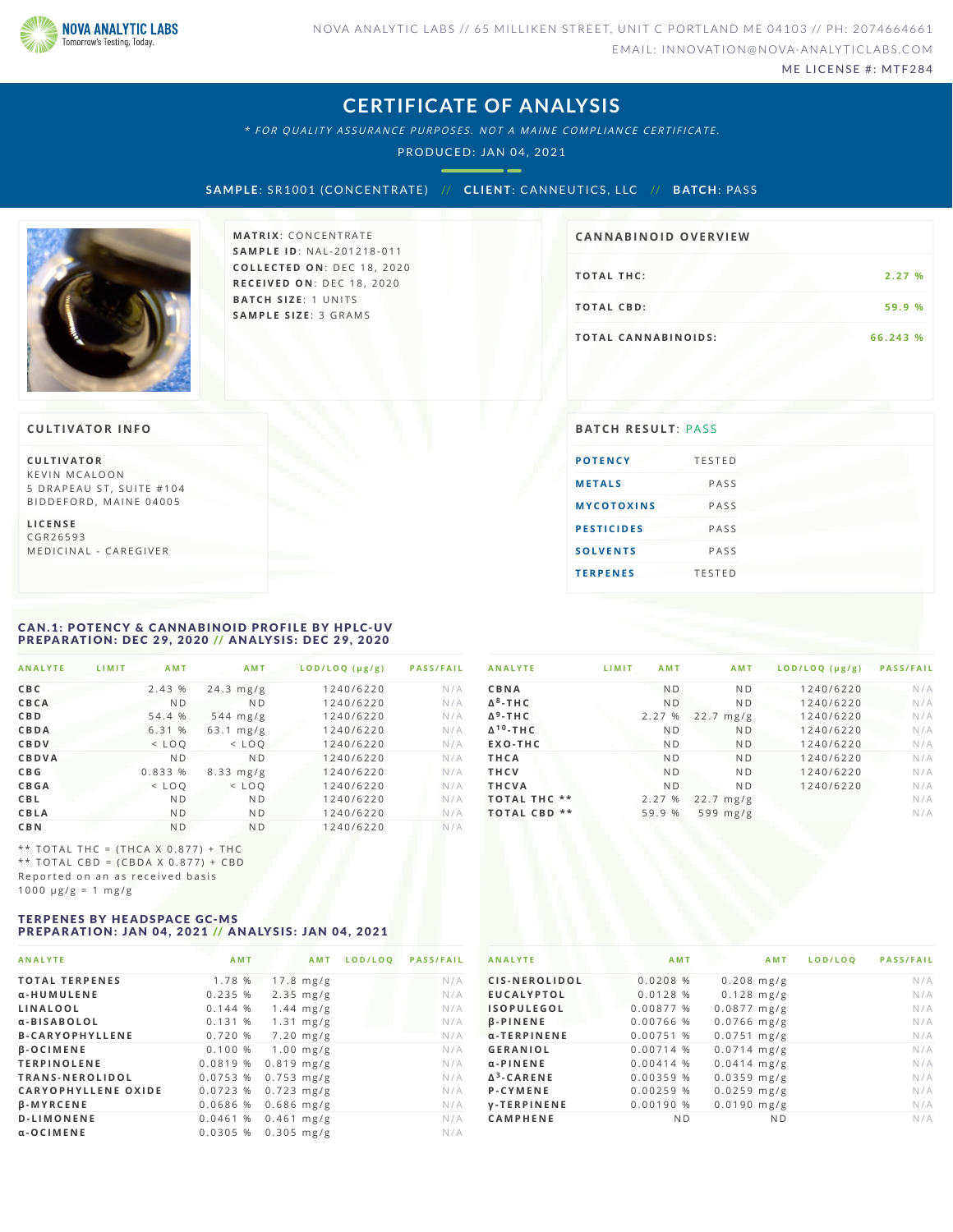

ME LICENSE #: MTF284

### **CERTIFICATE OF ANALYSIS**

\* FOR QUALITY ASSURANCE PURPOSES. NOT A MAINE COMPLIANCE CERTIFICATE.

PRODUCED: JAN 04, 2021

**S AMPLE**: SR1001 (CONCENTRATE) // **CL IENT**: CANNEUTICS ,L LC // **B ATCH**: PAS S



**MATRIX: CONCENTRATE SA M P L E I D** :N A L - 2 0 1 2 1 8 - 0 1 1 **C O L L E C T E D O N** :D E C 1 8 , 2 0 2 0 **R E C E I V E D O N** : D E C 1 8 , 2 0 2 0 **BATCH SIZE:** 1 UNITS **SA M P L E S I Z E** : 3 G R A M S

### **CA N N ABI N OID OVERVI EW**

| <b>TOTAL THC:</b>          | 2.27%    |
|----------------------------|----------|
| <b>TOTAL CBD:</b>          | 59.9 %   |
| <b>TOTAL CANNABINOIDS:</b> | 66.243 % |

**C U L T I VAT O R** KEVIN MCALOON 5 DRAPEAU ST, SUITE #104 BIDDEFORD, MAINE 04005

**L I C E N S E** C G R 2 6 5 9 3

MEDICINAL - CAREGIVER

### <span id="page-0-0"></span>CAN.1: POTENCY & CANNABINOID PROFILE BY HPLC-UV<br>PREPARATION: DEC 29, 2020 // ANALYSIS: DEC 29, 2020

| <b>ANALYTE</b> | LIMIT | <b>AMT</b>     | AMT                | LOD/LOQ (µg/g) | <b>PASS/FAIL</b> |
|----------------|-------|----------------|--------------------|----------------|------------------|
| CBC            |       | 2.43 %         | $24.3$ mg/g        | 1240/6220      | N/A              |
| CBCA           |       | N <sub>D</sub> | N <sub>D</sub>     | 1240/6220      | N/A              |
| <b>CBD</b>     |       | 54.4 %         | $544 \text{ mg/g}$ | 1240/6220      | N/A              |
| CBDA           |       | 6.31 %         | $63.1$ mg/g        | 1240/6220      | N/A              |
| CBDV           |       | $<$ LOO        | $<$ LOO            | 1240/6220      | N/A              |
| CBDVA          |       | N <sub>D</sub> | N <sub>D</sub>     | 1240/6220      | N/A              |
| C B G          |       | 0.833 %        | $8.33$ mg/g        | 1240/6220      | N/A              |
| <b>CBGA</b>    |       | $<$ $LOO$      | $<$ LOO            | 1240/6220      | N/A              |
| <b>CBL</b>     |       | N <sub>D</sub> | N <sub>D</sub>     | 1240/6220      | N/A              |
| CBLA           |       | N <sub>D</sub> | N <sub>D</sub>     | 1240/6220      | N/A              |
| <b>CBN</b>     |       | N <sub>D</sub> | N <sub>D</sub>     | 1240/6220      | N/A              |

\*\* TOTAL THC =  $(THCA X 0.877) + THC$ \*\* TOTAL CBD =  $(CBDA X 0.877) + CBD$ Reported on an as received basis  $1000 \text{ }\mu\text{g/g} = 1 \text{ }\text{mg/g}$ 

#### <span id="page-0-1"></span>TERPENES BY HEADSPACE GC-MS PREPARATION: JAN 04, 2021 // ANALYSIS: JAN 04, 2021

| <b>ANALYTE</b>             | AMT      | AMT          | LOD/LOO | <b>PASS/FAIL</b> |
|----------------------------|----------|--------------|---------|------------------|
| <b>TOTAL TERPENES</b>      | 1.78 %   | $17.8$ mg/g  |         | N/A              |
| α-HUMULENE                 | 0.235%   | $2.35$ mg/g  |         | N/A              |
| LINALOOL                   | 0.144%   | $1.44$ mg/g  |         | N/A              |
| α-BISABOLOL                | 0.131%   | $1.31$ mg/g  |         | N/A              |
| <b>B-CARYOPHYLLENE</b>     | 0.720%   | $7.20$ mg/g  |         | N/A              |
| <b>B-OCIMENE</b>           | 0.100%   | $1.00$ mg/g  |         | N/A              |
| <b>TERPINOLENE</b>         | 0.0819 % | $0.819$ mg/g |         | N/A              |
| TRANS-NEROLIDOL            | 0.0753%  | $0.753$ mg/g |         | N/A              |
| <b>CARYOPHYLLENE OXIDE</b> | 0.0723%  | $0.723$ mg/g |         | N/A              |
| <b>B-MYRCENE</b>           | 0.0686 % | $0.686$ mg/g |         | N/A              |
| <b>D-LIMONENE</b>          | 0.0461%  | $0.461$ mg/g |         | N/A              |
| α-OCIMENE                  | 0.0305%  | $0.305$ mg/g |         | N/A              |

|                             | .              | .              |           | .   |
|-----------------------------|----------------|----------------|-----------|-----|
| CBNA                        | <b>ND</b>      | N <sub>D</sub> | 1240/6220 | N/A |
| $\Delta^8$ -THC             | <b>ND</b>      | <b>ND</b>      | 1240/6220 | N/A |
| $\Delta^9$ -THC             | 2.27 %         | $22.7$ mg/g    | 1240/6220 | N/A |
| $\Delta$ <sup>10</sup> -THC | N <sub>D</sub> | N <sub>D</sub> | 1240/6220 | N/A |
| EXO-THC                     | N <sub>D</sub> | N <sub>D</sub> | 1240/6220 | N/A |
| <b>THCA</b>                 | N <sub>D</sub> | N <sub>D</sub> | 1240/6220 | N/A |
| <b>THCV</b>                 | N <sub>D</sub> | N <sub>D</sub> | 1240/6220 | N/A |
| <b>THCVA</b>                | <b>ND</b>      | N <sub>D</sub> | 1240/6220 | N/A |
| <b>TOTAL THC **</b>         | 2.27 %         | $22.7$ mg/g    |           | N/A |
| <b>TOTAL CBD **</b>         | 59.9 %         | 599 $mg/g$     |           | N/A |
|                             |                |                |           |     |

ANAIVTE : IIMIT AMT AMT IOD/IOO (ug/g) PASS/FAIL

| <b>ANALYTE</b>     | <b>AMT</b>  | A M T          | LOD/LOQ | <b>PASS/FAIL</b> |
|--------------------|-------------|----------------|---------|------------------|
| CIS-NEROLIDOL      | 0.0208%     | $0.208$ mg/g   |         | N/A              |
| <b>EUCALYPTOL</b>  | 0.0128%     | $0.128$ mg/g   |         | N/A              |
| <b>ISOPULEGOL</b>  | 0.00877 %   | $0.0877$ mg/g  |         | N/A              |
| <b>B-PINENE</b>    | 0.00766 %   | $0.0766$ mg/g  |         | N/A              |
| α-TERPINENE        | 0.00751 %   | $0.0751$ mg/g  |         | N/A              |
| <b>GERANIOL</b>    | 0.00714 %   | $0.0714$ mg/g  |         | N/A              |
| $\alpha$ -PINENE   | $0.00414$ % | $0.0414$ mg/g  |         | N/A              |
| $\Delta^3$ -CARENE | 0.00359 %   | $0.0359$ mg/g  |         | N/A              |
| P-CYMENE           | 0.00259%    | $0.0259$ mg/g  |         | N/A              |
| <b>V-TERPINENE</b> | 0.00190 %   | $0.0190$ mg/g  |         | N/A              |
| <b>CAMPHENE</b>    | <b>ND</b>   | N <sub>D</sub> |         | N/A              |

#### **CULTIVATOR INFO BATCH RESULT**: PASS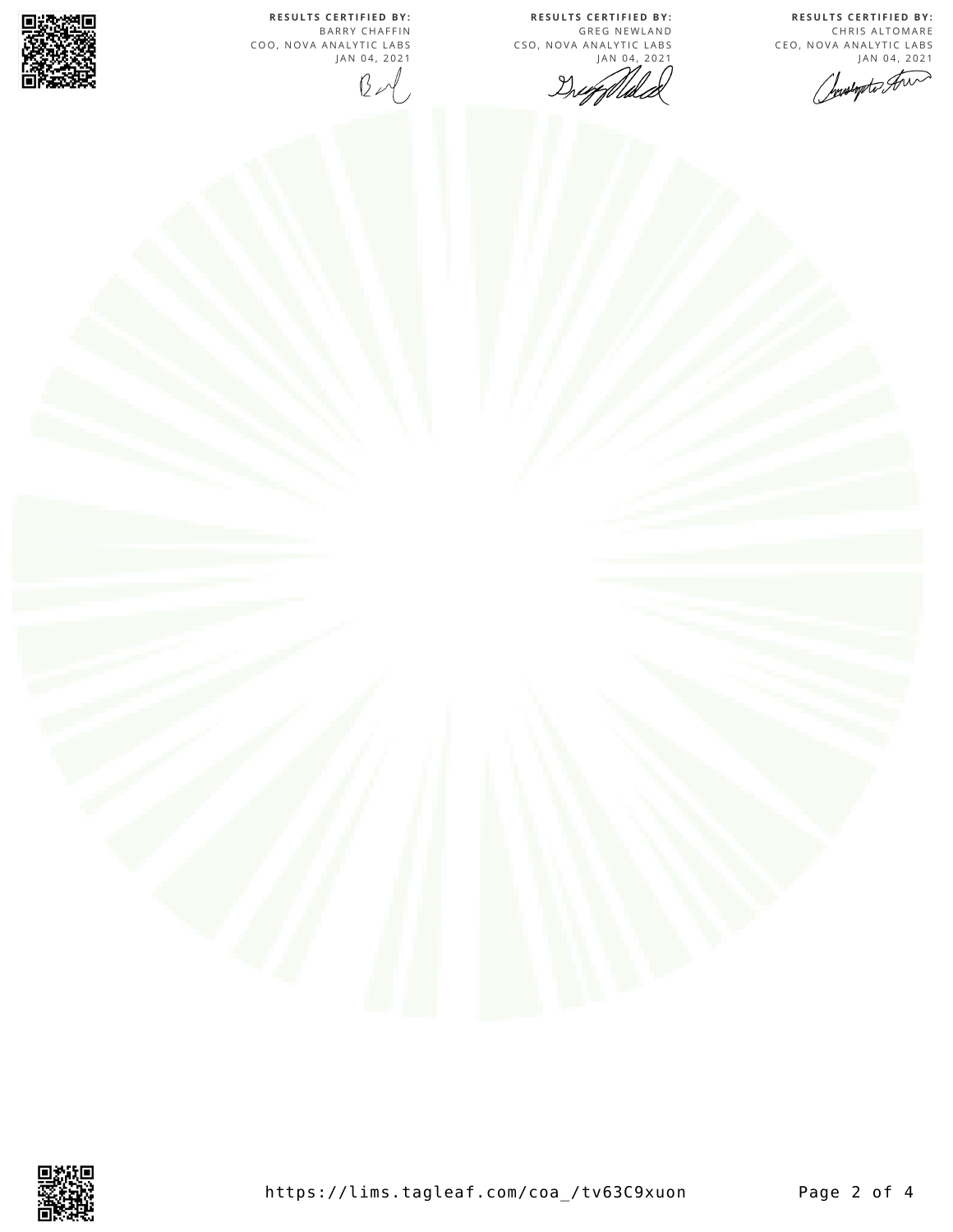**R E S U L T S C E R T I F I E D BY :** CHRIS ALTOMARE CEO, NOVA ANALYTIC LABS<br>JAN 04, 2021

Justopto An

**R E S U L T S C E R T I F I E D BY :** GREG NEWLAND CSO, NOVA ANALYTIC LABS  $\mathbb{Z}^{(1)}$ Drugflli

**R E S U L T S C E R T I F I E D BY :** BARRY CHAFFIN COO, NOVA ANALYTIC LABS J A N 0 4 , 2 0 2 1  $B - 1$ 



巚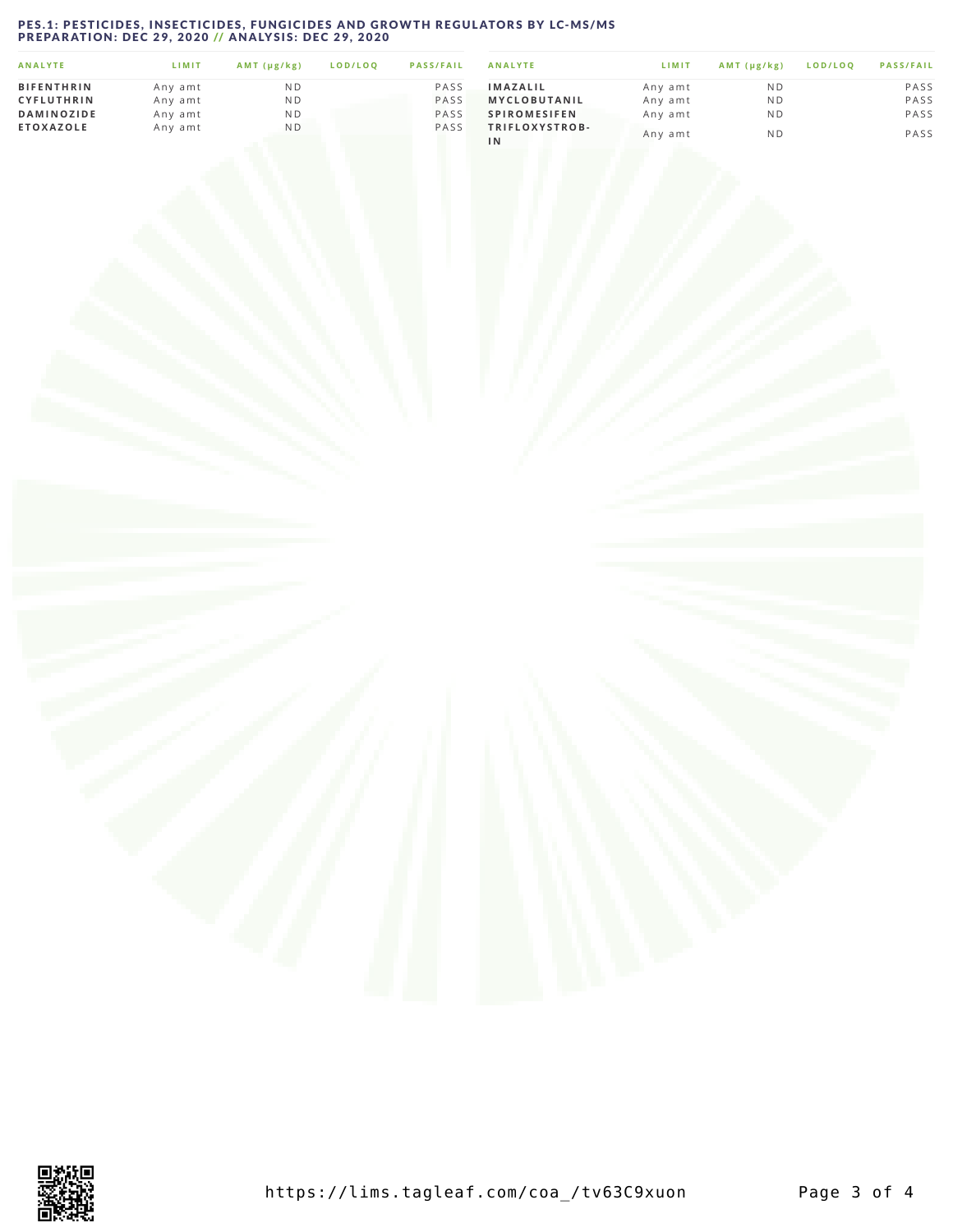# <span id="page-2-0"></span>PES.1: PESTICIDES, INSECTICIDES, FUNGICIDES AND GROWTH REGULATORS BY LC-MS/MS<br>PREPARATION: DEC 29, 2020 // ANALYSIS: DEC 29, 2020

| <b>ANALYTE</b>    | LIMIT   | AMT (µg/kg)    | LOD/LOO | <b>PASS/FAIL</b> | <b>ANALYTE</b>       | LIMIT   | $AMT(\mu g/kg)$ | LOD/LOO | <b>PASS/FAIL</b> |
|-------------------|---------|----------------|---------|------------------|----------------------|---------|-----------------|---------|------------------|
| <b>BIFENTHRIN</b> | Any amt | N <sub>D</sub> |         | PASS             | <b>IMAZALIL</b>      | Any amt | ND.             |         | PASS             |
| <b>CYFLUTHRIN</b> | Any amt | N D            |         | PASS             | <b>MYCLOBUTANIL</b>  | Any amt | ND              |         | PASS             |
| <b>DAMINOZIDE</b> | Any amt | N <sub>D</sub> |         | PASS             | <b>SPIROMESIFEN</b>  | Any amt | N <sub>D</sub>  |         | PASS             |
| <b>ETOXAZOLE</b>  | Any amt | ND             |         | PASS             | TRIFLOXYSTROB-<br>1N | Any amt | N <sub>D</sub>  |         | PASS             |